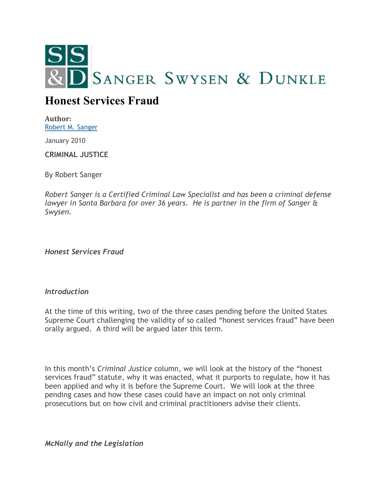

## **Honest Services Fraud**

**Author:** [Robert M. Sanger](http://sangerswysen.com/robert-m-sanger)

January 2010

**CRIMINAL JUSTICE**

By Robert Sanger

*Robert Sanger is a Certified Criminal Law Specialist and has been a criminal defense lawyer in Santa Barbara for over 36 years. He is partner in the firm of Sanger & Swysen.*

*Honest Services Fraud*

## *Introduction*

At the time of this writing, two of the three cases pending before the United States Supreme Court challenging the validity of so called "honest services fraud" have been orally argued. A third will be argued later this term.

In this month's *Criminal Justice* column, we will look at the history of the "honest services fraud" statute, why it was enacted, what it purports to regulate, how it has been applied and why it is before the Supreme Court. We will look at the three pending cases and how these cases could have an impact on not only criminal prosecutions but on how civil and criminal practitioners advise their clients.

*McNally and the Legislation*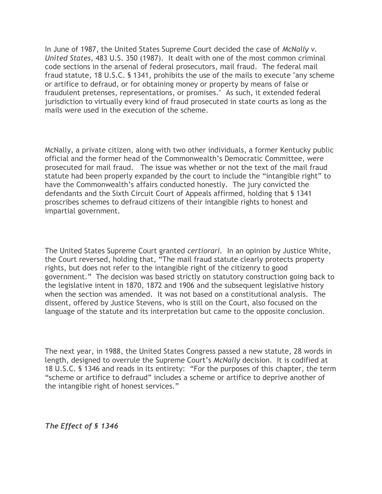In June of 1987, the United States Supreme Court decided the case of *McNally v. United States*, 483 U.S. 350 (1987). It dealt with one of the most common criminal code sections in the arsenal of federal prosecutors, mail fraud. The federal mail fraud statute, 18 U.S.C. § 1341, prohibits the use of the mails to execute "any scheme or artifice to defraud, or for obtaining money or property by means of false or fraudulent pretenses, representations, or promises." As such, it extended federal jurisdiction to virtually every kind of fraud prosecuted in state courts as long as the mails were used in the execution of the scheme.

McNally, a private citizen, along with two other individuals, a former Kentucky public official and the former head of the Commonwealth's Democratic Committee, were prosecuted for mail fraud. The issue was whether or not the text of the mail fraud statute had been properly expanded by the court to include the "intangible right" to have the Commonwealth's affairs conducted honestly. The jury convicted the defendants and the Sixth Circuit Court of Appeals affirmed, holding that § 1341 proscribes schemes to defraud citizens of their intangible rights to honest and impartial government.

The United States Supreme Court granted *certiorari.* In an opinion by Justice White, the Court reversed, holding that, "The mail fraud statute clearly protects property rights, but does not refer to the intangible right of the citizenry to good government." The decision was based strictly on statutory construction going back to the legislative intent in 1870, 1872 and 1906 and the subsequent legislative history when the section was amended. It was not based on a constitutional analysis. The dissent, offered by Justice Stevens, who is still on the Court, also focused on the language of the statute and its interpretation but came to the opposite conclusion.

The next year, in 1988, the United States Congress passed a new statute, 28 words in length, designed to overrule the Supreme Court's *McNally* decision. It is codified at 18 U.S.C. § 1346 and reads in its entirety: "For the purposes of this chapter, the term "scheme or artifice to defraud" includes a scheme or artifice to deprive another of the intangible right of honest services."

*The Effect of § 1346*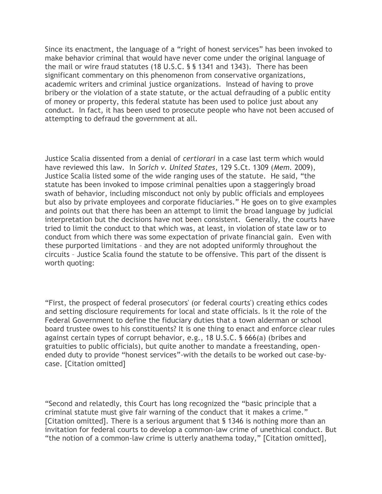Since its enactment, the language of a "right of honest services" has been invoked to make behavior criminal that would have never come under the original language of the mail or wire fraud statutes (18 U.S.C. § § 1341 and 1343). There has been significant commentary on this phenomenon from conservative organizations, academic writers and criminal justice organizations. Instead of having to prove bribery or the violation of a state statute, or the actual defrauding of a public entity of money or property, this federal statute has been used to police just about any conduct. In fact, it has been used to prosecute people who have not been accused of attempting to defraud the government at all.

Justice Scalia dissented from a denial of *certiorari* in a case last term which would have reviewed this law. In *Sorich v. United States*, 129 S.Ct. 1309 (*Mem.* 2009), Justice Scalia listed some of the wide ranging uses of the statute. He said, "the statute has been invoked to impose criminal penalties upon a staggeringly broad swath of behavior, including misconduct not only by public officials and employees but also by private employees and corporate fiduciaries." He goes on to give examples and points out that there has been an attempt to limit the broad language by judicial interpretation but the decisions have not been consistent. Generally, the courts have tried to limit the conduct to that which was, at least, in violation of state law or to conduct from which there was some expectation of private financial gain. Even with these purported limitations – and they are not adopted uniformly throughout the circuits – Justice Scalia found the statute to be offensive. This part of the dissent is worth quoting:

"First, the prospect of federal prosecutors' (or federal courts') creating ethics codes and setting disclosure requirements for local and state officials. Is it the role of the Federal Government to define the fiduciary duties that a town alderman or school board trustee owes to his constituents? It is one thing to enact and enforce clear rules against certain types of corrupt behavior, e.g., 18 U.S.C. § 666(a) (bribes and gratuities to public officials), but quite another to mandate a freestanding, openended duty to provide "honest services"-with the details to be worked out case-bycase. [Citation omitted]

"Second and relatedly, this Court has long recognized the "basic principle that a criminal statute must give fair warning of the conduct that it makes a crime." [Citation omitted]. There is a serious argument that § 1346 is nothing more than an invitation for federal courts to develop a common-law crime of unethical conduct. But "the notion of a common-law crime is utterly anathema today," [Citation omitted],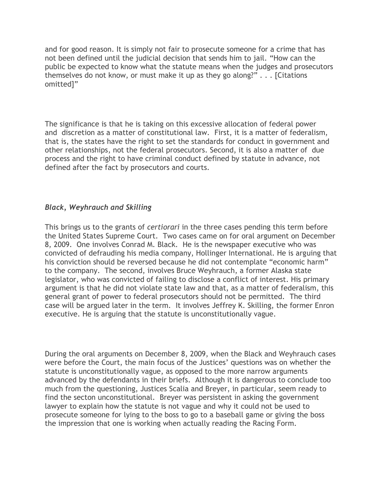and for good reason. It is simply not fair to prosecute someone for a crime that has not been defined until the judicial decision that sends him to jail. "How can the public be expected to know what the statute means when the judges and prosecutors themselves do not know, or must make it up as they go along?" . . . [Citations omitted]"

The significance is that he is taking on this excessive allocation of federal power and discretion as a matter of constitutional law. First, it is a matter of federalism, that is, the states have the right to set the standards for conduct in government and other relationships, not the federal prosecutors. Second, it is also a matter of due process and the right to have criminal conduct defined by statute in advance, not defined after the fact by prosecutors and courts.

## *Black, Weyhrauch and Skilling*

This brings us to the grants of *certiorari* in the three cases pending this term before the United States Supreme Court. Two cases came on for oral argument on December 8, 2009. One involves Conrad M. Black. He is the newspaper executive who was convicted of defrauding his media company, Hollinger International. He is arguing that his conviction should be reversed because he did not contemplate "economic harm" to the company. The second, involves Bruce Weyhrauch, a former Alaska state legislator, who was convicted of failing to disclose a conflict of interest. His primary argument is that he did not violate state law and that, as a matter of federalism, this general grant of power to federal prosecutors should not be permitted. The third case will be argued later in the term. It involves Jeffrey K. Skilling, the former Enron executive. He is arguing that the statute is unconstitutionally vague.

During the oral arguments on December 8, 2009, when the Black and Weyhrauch cases were before the Court, the main focus of the Justices' questions was on whether the statute is unconstitutionally vague, as opposed to the more narrow arguments advanced by the defendants in their briefs. Although it is dangerous to conclude too much from the questioning, Justices Scalia and Breyer, in particular, seem ready to find the secton unconstitutional. Breyer was persistent in asking the government lawyer to explain how the statute is not vague and why it could not be used to prosecute someone for lying to the boss to go to a baseball game or giving the boss the impression that one is working when actually reading the Racing Form.